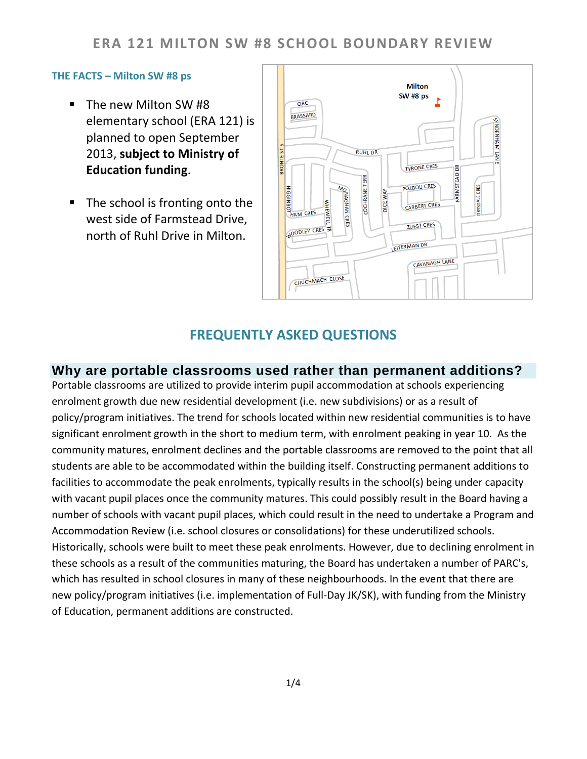## **ERA 121 MILTON SW #8 SCHOOL BOUNDARY REVIEW**

#### **THE FACTS – Milton SW #8 ps**

- The new Milton SW #8 elementary school (ERA 121) is planned to open September 2013, **subject to Ministry of Education funding**.
- The school is fronting onto the west side of Farmstead Drive, north of Ruhl Drive in Milton.



#### **FREQUENTLY ASKED QUESTIONS**

#### **Why are portable classrooms used rather than permanent additions?**

Portable classrooms are utilized to provide interim pupil accommodation at schools experiencing enrolment growth due new residential development (i.e. new subdivisions) or as a result of policy/program initiatives. The trend for schools located within new residential communities is to have significant enrolment growth in the short to medium term, with enrolment peaking in year 10. As the community matures, enrolment declines and the portable classrooms are removed to the point that all students are able to be accommodated within the building itself. Constructing permanent additions to facilities to accommodate the peak enrolments, typically results in the school(s) being under capacity with vacant pupil places once the community matures. This could possibly result in the Board having a number of schools with vacant pupil places, which could result in the need to undertake a Program and Accommodation Review (i.e. school closures or consolidations) for these underutilized schools. Historically, schools were built to meet these peak enrolments. However, due to declining enrolment in these schools as a result of the communities maturing, the Board has undertaken a number of PARC's, which has resulted in school closures in many of these neighbourhoods. In the event that there are new policy/program initiatives (i.e. implementation of Full-Day JK/SK), with funding from the Ministry of Education, permanent additions are constructed.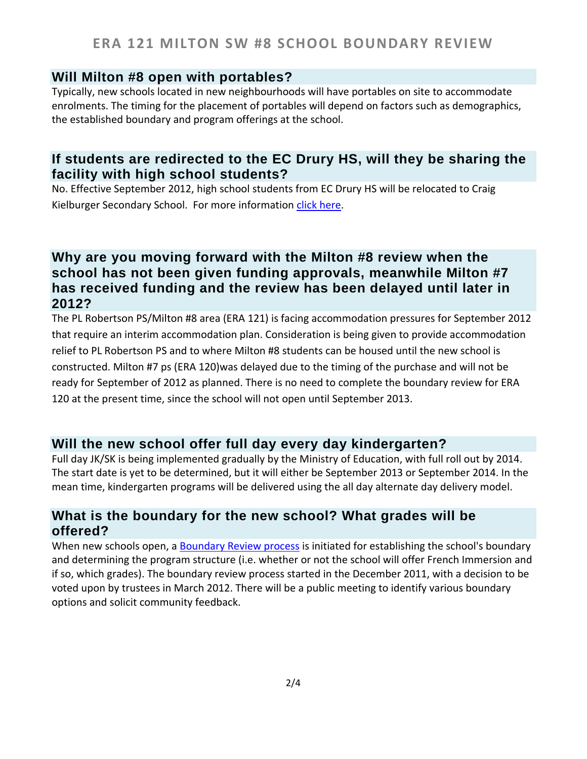## **Will Milton #8 open with portables?**

Typically, new schools located in new neighbourhoods will have portables on site to accommodate enrolments. The timing for the placement of portables will depend on factors such as demographics, the established boundary and program offerings at the school.

## **If students are redirected to the EC Drury HS, will they be sharing the facility with high school students?**

No. Effective September 2012, high school students from EC Drury HS will be relocated to Craig Kielburger Secondary School. For more information [click here.](http://www.hdsb.ca/aboutus/Planning/Reviews/Pages/MiltonSRA.aspx)

## **Why are you moving forward with the Milton #8 review when the school has not been given funding approvals, meanwhile Milton #7 has received funding and the review has been delayed until later in 2012?**

The PL Robertson PS/Milton #8 area (ERA 121) is facing accommodation pressures for September 2012 that require an interim accommodation plan. Consideration is being given to provide accommodation relief to PL Robertson PS and to where Milton #8 students can be housed until the new school is constructed. Milton #7 ps (ERA 120)was delayed due to the timing of the purchase and will not be ready for September of 2012 as planned. There is no need to complete the boundary review for ERA 120 at the present time, since the school will not open until September 2013.

## **Will the new school offer full day every day kindergarten?**

Full day JK/SK is being implemented gradually by the Ministry of Education, with full roll out by 2014. The start date is yet to be determined, but it will either be September 2013 or September 2014. In the mean time, kindergarten programs will be delivered using the all day alternate day delivery model.

## **What is the boundary for the new school? What grades will be offered?**

When new schools open, a **Boundary Review process** is initiated for establishing the school's boundary and determining the program structure (i.e. whether or not the school will offer French Immersion and if so, which grades). The boundary review process started in the December 2011, with a decision to be voted upon by trustees in March 2012. There will be a public meeting to identify various boundary options and solicit community feedback.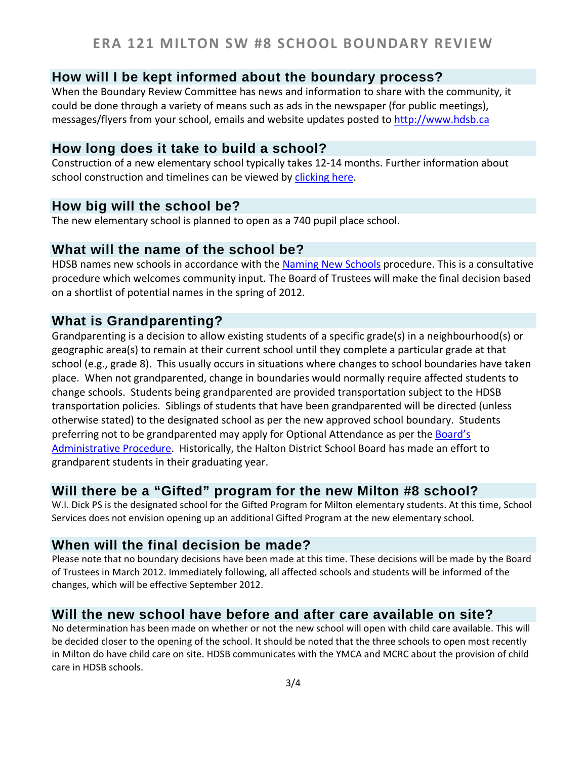## **How will I be kept informed about the boundary process?**

When the Boundary Review Committee has news and information to share with the community, it could be done through a variety of means such as ads in the newspaper (for public meetings), messages/flyers from your school, emails and website updates posted to [http://www.hdsb.ca](http://www.hdsb.ca/)

### **How long does it take to build a school?**

Construction of a new elementary school typically takes 12-14 months. Further information about school construction and timelines can be viewed by [clicking here.](http://www.hdsb.ca/aboutus/FacilityServices/Pages/Construction.aspx)

## **How big will the school be?**

The new elementary school is planned to open as a 740 pupil place school.

#### **What will the name of the school be?**

HDSB names new schools in accordance with the [Naming New Schools](http://www.hdsb.ca/Policy/Naming%20New%20Schools.pdf) procedure. This is a consultative procedure which welcomes community input. The Board of Trustees will make the final decision based on a shortlist of potential names in the spring of 2012.

## **What is Grandparenting?**

Grandparenting is a decision to allow existing students of a specific grade(s) in a neighbourhood(s) or geographic area(s) to remain at their current school until they complete a particular grade at that school (e.g., grade 8). This usually occurs in situations where changes to school boundaries have taken place. When not grandparented, change in boundaries would normally require affected students to change schools. Students being grandparented are provided transportation subject to the HDSB transportation policies. Siblings of students that have been grandparented will be directed (unless otherwise stated) to the designated school as per the new approved school boundary. Students preferring not to be grandparented may apply for Optional Attendance as per the **Board's** [Administrative Procedure.](http://www.hdsb.ca/Policy/Optional%20Attendance-2010.pdf) Historically, the Halton District School Board has made an effort to grandparent students in their graduating year.

## **Will there be a "Gifted" program for the new Milton #8 school?**

W.I. Dick PS is the designated school for the Gifted Program for Milton elementary students. At this time, School Services does not envision opening up an additional Gifted Program at the new elementary school.

## **When will the final decision be made?**

Please note that no boundary decisions have been made at this time. These decisions will be made by the Board of Trustees in March 2012. Immediately following, all affected schools and students will be informed of the changes, which will be effective September 2012.

## **Will the new school have before and after care available on site?**

No determination has been made on whether or not the new school will open with child care available. This will be decided closer to the opening of the school. It should be noted that the three schools to open most recently in Milton do have child care on site. HDSB communicates with the YMCA and MCRC about the provision of child care in HDSB schools.